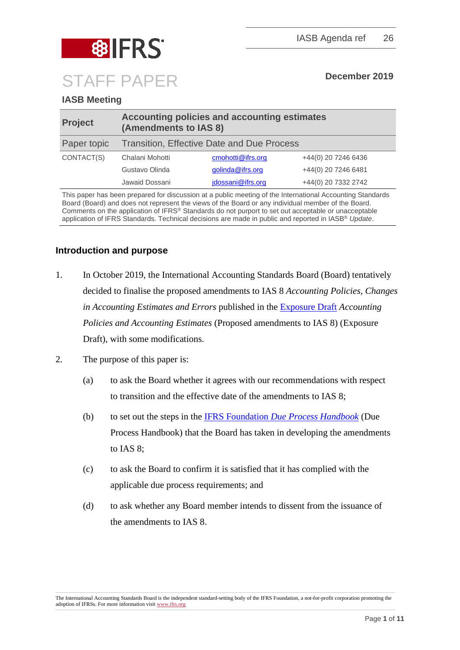

# **IASB Meeting**

| <b>Project</b> | <b>Accounting policies and accounting estimates</b><br>(Amendments to IAS 8) |                   |                     |
|----------------|------------------------------------------------------------------------------|-------------------|---------------------|
| Paper topic    | <b>Transition, Effective Date and Due Process</b>                            |                   |                     |
| CONTACT(S)     | Chalani Mohotti                                                              | cmohotti@ifrs.org | +44(0) 20 7246 6436 |
|                | Gustavo Olinda                                                               | golinda@ifrs.org  | +44(0) 20 7246 6481 |
|                | Jawaid Dossani                                                               | jdossani@ifrs.org | +44(0) 20 7332 2742 |

This paper has been prepared for discussion at a public meeting of the International Accounting Standards Board (Board) and does not represent the views of the Board or any individual member of the Board. Comments on the application of IFRS® Standards do not purport to set out acceptable or unacceptable application of IFRS Standards. Technical decisions are made in public and reported in IASB® *Update*.

## **Introduction and purpose**

- 1. In October 2019, the International Accounting Standards Board (Board) tentatively decided to finalise the proposed amendments to IAS 8 *Accounting Policies, Changes in Accounting Estimates and Errors* published in the [Exposure Draft](https://www.ifrs.org/-/media/project/accounting-policies-and-estimates/exposure-draft/amendments-to-ias-8-accounting-policies-and-estimates-ed.pdf) *Accounting Policies and Accounting Estimates* (Proposed amendments to IAS 8) (Exposure Draft), with some modifications.
- 2. The purpose of this paper is:
	- (a) to ask the Board whether it agrees with our recommendations with respect to transition and the effective date of the amendments to IAS 8;
	- (b) to set out the steps in the IFRS Foundation *[Due Process Handbook](https://www.ifrs.org/-/media/feature/about-us/legal-and-governance/constitution-docs/due-process-handbook.pdf)* (Due Process Handbook) that the Board has taken in developing the amendments to IAS 8;
	- (c) to ask the Board to confirm it is satisfied that it has complied with the applicable due process requirements; and
	- (d) to ask whether any Board member intends to dissent from the issuance of the amendments to IAS 8.

The International Accounting Standards Board is the independent standard-setting body of the IFRS Foundation, a not-for-profit corporation promoting the adoption of IFRSs. For more information visi[t www.ifrs.org](http://www.ifrs.org/)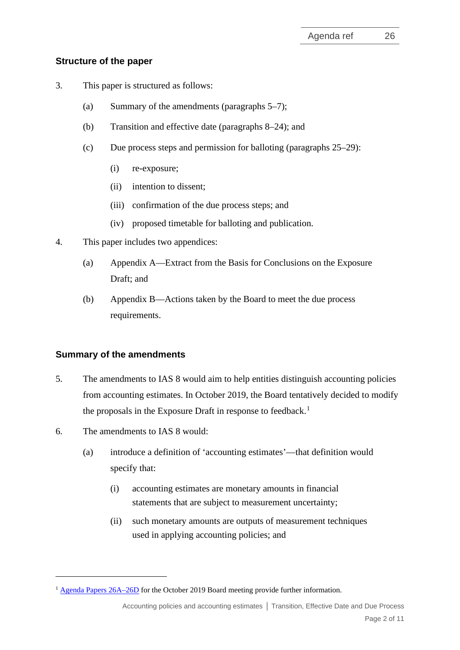## **Structure of the paper**

- 3. This paper is structured as follows:
	- (a) Summary of the amendments (paragraphs [5–](#page-1-0)[7\)](#page-2-0);
	- (b) Transition and effective date (paragraphs [8](#page-2-1)[–24\)](#page-5-0); and
	- (c) Due process steps and permission for balloting (paragraphs [25–](#page-6-0)[29\)](#page-7-0):
		- (i) re-exposure;
		- (ii) intention to dissent;
		- (iii) confirmation of the due process steps; and
		- (iv) proposed timetable for balloting and publication.
- 4. This paper includes two appendices:
	- (a) Appendix A––Extract from the Basis for Conclusions on the Exposure Draft; and
	- (b) Appendix B––Actions taken by the Board to meet the due process requirements.

## **Summary of the amendments**

- <span id="page-1-0"></span>5. The amendments to IAS 8 would aim to help entities distinguish accounting policies from accounting estimates. In October 2019, the Board tentatively decided to modify the proposals in the Exposure Draft in response to feedback.<sup>[1](#page-1-1)</sup>
- 6. The amendments to IAS 8 would:
	- (a) introduce a definition of 'accounting estimates'—that definition would specify that:
		- (i) accounting estimates are monetary amounts in financial statements that are subject to measurement uncertainty;
		- (ii) such monetary amounts are outputs of measurement techniques used in applying accounting policies; and

<span id="page-1-1"></span><sup>&</sup>lt;sup>1</sup> [Agenda Papers 26A–26D](https://www.ifrs.org/news-and-events/calendar/2019/october/international-accounting-standards-board/) for the October 2019 Board meeting provide further information.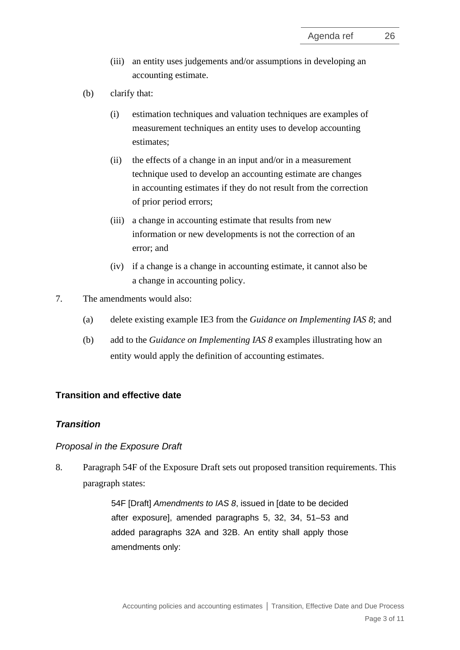- (iii) an entity uses judgements and/or assumptions in developing an accounting estimate.
- (b) clarify that:
	- (i) estimation techniques and valuation techniques are examples of measurement techniques an entity uses to develop accounting estimates;
	- (ii) the effects of a change in an input and/or in a measurement technique used to develop an accounting estimate are changes in accounting estimates if they do not result from the correction of prior period errors;
	- (iii) a change in accounting estimate that results from new information or new developments is not the correction of an error; and
	- (iv) if a change is a change in accounting estimate, it cannot also be a change in accounting policy.
- <span id="page-2-0"></span>7. The amendments would also:
	- (a) delete existing example IE3 from the *Guidance on Implementing IAS 8*; and
	- (b) add to the *Guidance on Implementing IAS 8* examples illustrating how an entity would apply the definition of accounting estimates.

## **Transition and effective date**

## *Transition*

#### *Proposal in the Exposure Draft*

<span id="page-2-1"></span>8. Paragraph 54F of the Exposure Draft sets out proposed transition requirements. This paragraph states:

> 54F [Draft] *Amendments to IAS 8*, issued in [date to be decided after exposure], amended paragraphs 5, 32, 34, 51–53 and added paragraphs 32A and 32B. An entity shall apply those amendments only: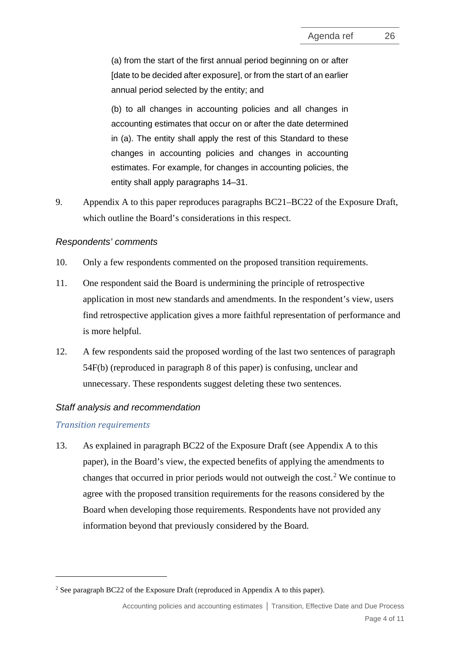(a) from the start of the first annual period beginning on or after [date to be decided after exposure], or from the start of an earlier annual period selected by the entity; and

(b) to all changes in accounting policies and all changes in accounting estimates that occur on or after the date determined in (a). The entity shall apply the rest of this Standard to these changes in accounting policies and changes in accounting estimates. For example, for changes in accounting policies, the entity shall apply paragraphs 14–31.

9. Appendix A to this paper reproduces paragraphs BC21–BC22 of the Exposure Draft, which outline the Board's considerations in this respect.

### *Respondents' comments*

- 10. Only a few respondents commented on the proposed transition requirements.
- 11. One respondent said the Board is undermining the principle of retrospective application in most new standards and amendments. In the respondent's view, users find retrospective application gives a more faithful representation of performance and is more helpful.
- 12. A few respondents said the proposed wording of the last two sentences of paragraph 54F(b) (reproduced in paragraph [8](#page-2-1) of this paper) is confusing, unclear and unnecessary. These respondents suggest deleting these two sentences.

### *Staff analysis and recommendation*

#### *Transition requirements*

13. As explained in paragraph BC22 of the Exposure Draft (see Appendix A to this paper), in the Board's view, the expected benefits of applying the amendments to changes that occurred in prior periods would not outweigh the cost. [2](#page-3-0) We continue to agree with the proposed transition requirements for the reasons considered by the Board when developing those requirements. Respondents have not provided any information beyond that previously considered by the Board.

<span id="page-3-0"></span><sup>&</sup>lt;sup>2</sup> See paragraph BC22 of the Exposure Draft (reproduced in Appendix A to this paper).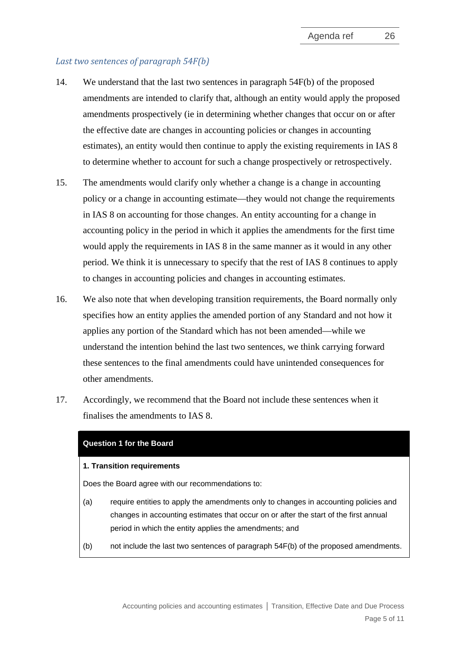## *Last two sentences of paragraph 54F(b)*

- 14. We understand that the last two sentences in paragraph 54F(b) of the proposed amendments are intended to clarify that, although an entity would apply the proposed amendments prospectively (ie in determining whether changes that occur on or after the effective date are changes in accounting policies or changes in accounting estimates), an entity would then continue to apply the existing requirements in IAS 8 to determine whether to account for such a change prospectively or retrospectively.
- 15. The amendments would clarify only whether a change is a change in accounting policy or a change in accounting estimate—they would not change the requirements in IAS 8 on accounting for those changes. An entity accounting for a change in accounting policy in the period in which it applies the amendments for the first time would apply the requirements in IAS 8 in the same manner as it would in any other period. We think it is unnecessary to specify that the rest of IAS 8 continues to apply to changes in accounting policies and changes in accounting estimates.
- 16. We also note that when developing transition requirements, the Board normally only specifies how an entity applies the amended portion of any Standard and not how it applies any portion of the Standard which has not been amended—while we understand the intention behind the last two sentences, we think carrying forward these sentences to the final amendments could have unintended consequences for other amendments.
- 17. Accordingly, we recommend that the Board not include these sentences when it finalises the amendments to IAS 8.

#### **Question 1 for the Board**

#### **1. Transition requirements**

Does the Board agree with our recommendations to:

- (a) require entities to apply the amendments only to changes in accounting policies and changes in accounting estimates that occur on or after the start of the first annual period in which the entity applies the amendments; and
- (b) not include the last two sentences of paragraph 54F(b) of the proposed amendments.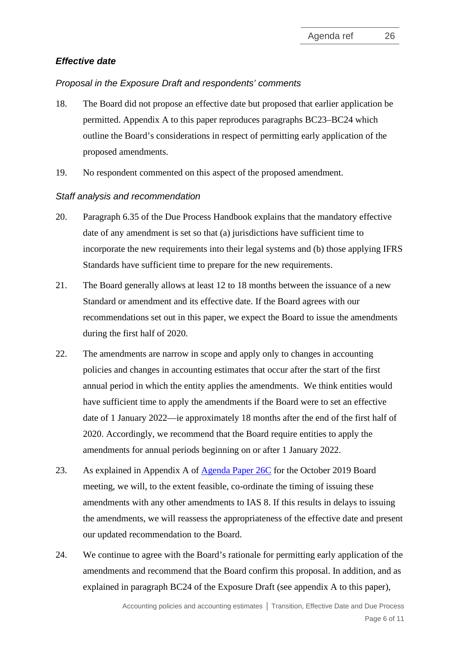## *Effective date*

### *Proposal in the Exposure Draft and respondents' comments*

- <span id="page-5-1"></span>18. The Board did not propose an effective date but proposed that earlier application be permitted. Appendix A to this paper reproduces paragraphs BC23–BC24 which outline the Board's considerations in respect of permitting early application of the proposed amendments.
- 19. No respondent commented on this aspect of the proposed amendment.

## *Staff analysis and recommendation*

- 20. Paragraph 6.35 of the Due Process Handbook explains that the mandatory effective date of any amendment is set so that (a) jurisdictions have sufficient time to incorporate the new requirements into their legal systems and (b) those applying IFRS Standards have sufficient time to prepare for the new requirements.
- 21. The Board generally allows at least 12 to 18 months between the issuance of a new Standard or amendment and its effective date. If the Board agrees with our recommendations set out in this paper, we expect the Board to issue the amendments during the first half of 2020.
- 22. The amendments are narrow in scope and apply only to changes in accounting policies and changes in accounting estimates that occur after the start of the first annual period in which the entity applies the amendments. We think entities would have sufficient time to apply the amendments if the Board were to set an effective date of 1 January 2022––ie approximately 18 months after the end of the first half of 2020. Accordingly, we recommend that the Board require entities to apply the amendments for annual periods beginning on or after 1 January 2022.
- 23. As explained in Appendix A of [Agenda Paper 26C](https://cdn.ifrs.org/-/media/feature/meetings/2019/october/iasb/ap26c-ias-8.pdf) for the October 2019 Board meeting, we will, to the extent feasible, co-ordinate the timing of issuing these amendments with any other amendments to IAS 8. If this results in delays to issuing the amendments, we will reassess the appropriateness of the effective date and present our updated recommendation to the Board.
- <span id="page-5-0"></span>24. We continue to agree with the Board's rationale for permitting early application of the amendments and recommend that the Board confirm this proposal. In addition, and as explained in paragraph BC24 of the Exposure Draft (see appendix A to this paper),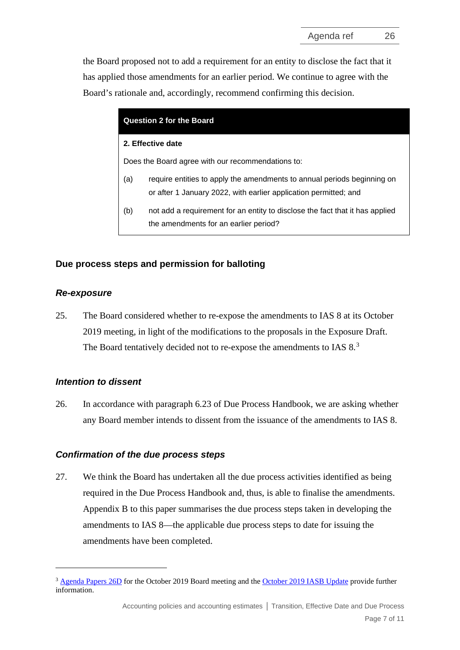the Board proposed not to add a requirement for an entity to disclose the fact that it has applied those amendments for an earlier period. We continue to agree with the Board's rationale and, accordingly, recommend confirming this decision.

| <b>Question 2 for the Board</b>                   |                                                                                                                                             |  |
|---------------------------------------------------|---------------------------------------------------------------------------------------------------------------------------------------------|--|
| 2. Effective date                                 |                                                                                                                                             |  |
| Does the Board agree with our recommendations to: |                                                                                                                                             |  |
| (a)                                               | require entities to apply the amendments to annual periods beginning on<br>or after 1 January 2022, with earlier application permitted; and |  |
| (b)                                               | not add a requirement for an entity to disclose the fact that it has applied<br>the amendments for an earlier period?                       |  |

### **Due process steps and permission for balloting**

### *Re-exposure*

<span id="page-6-0"></span>25. The Board considered whether to re-expose the amendments to IAS 8 at its October 2019 meeting, in light of the modifications to the proposals in the Exposure Draft. The Board tentatively decided not to re-expose the amendments to IAS 8.[3](#page-6-1)

### *Intention to dissent*

26. In accordance with paragraph 6.23 of Due Process Handbook, we are asking whether any Board member intends to dissent from the issuance of the amendments to IAS 8.

#### *Confirmation of the due process steps*

27. We think the Board has undertaken all the due process activities identified as being required in the Due Process Handbook and, thus, is able to finalise the amendments. Appendix B to this paper summarises the due process steps taken in developing the amendments to IAS 8—the applicable due process steps to date for issuing the amendments have been completed.

<span id="page-6-1"></span><sup>&</sup>lt;sup>3</sup> [Agenda Papers 26D](https://www.ifrs.org/-/media/feature/meetings/2019/october/iasb/ap26d-ias-8.pdf) for the October 2019 Board meeting and th[e October 2019 IASB Update](https://www.ifrs.org/news-and-events/updates/iasb-updates/october-2019/) provide further information.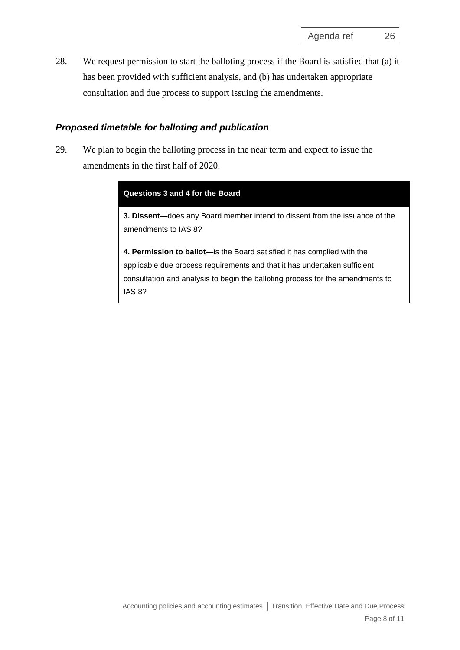28. We request permission to start the balloting process if the Board is satisfied that (a) it has been provided with sufficient analysis, and (b) has undertaken appropriate consultation and due process to support issuing the amendments.

## *Proposed timetable for balloting and publication*

<span id="page-7-0"></span>29. We plan to begin the balloting process in the near term and expect to issue the amendments in the first half of 2020.

|  | Questions 3 and 4 for the Board |  |
|--|---------------------------------|--|
|  |                                 |  |

**3. Dissent**—does any Board member intend to dissent from the issuance of the amendments to IAS 8?

**4. Permission to ballot**—is the Board satisfied it has complied with the applicable due process requirements and that it has undertaken sufficient consultation and analysis to begin the balloting process for the amendments to IAS 8?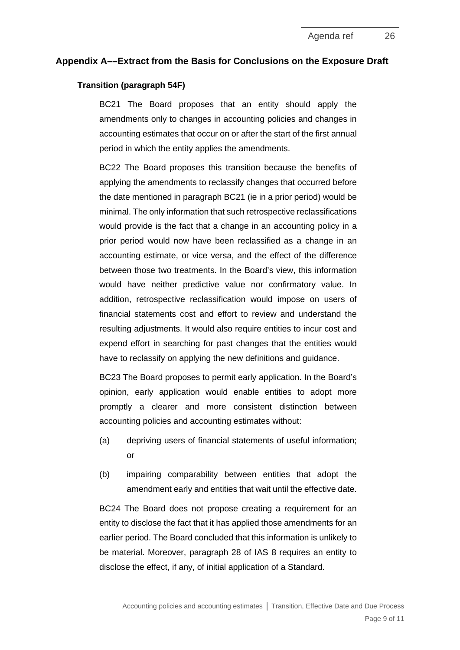#### **Appendix A––Extract from the Basis for Conclusions on the Exposure Draft**

#### **Transition (paragraph 54F)**

BC21 The Board proposes that an entity should apply the amendments only to changes in accounting policies and changes in accounting estimates that occur on or after the start of the first annual period in which the entity applies the amendments.

BC22 The Board proposes this transition because the benefits of applying the amendments to reclassify changes that occurred before the date mentioned in paragraph BC21 (ie in a prior period) would be minimal. The only information that such retrospective reclassifications would provide is the fact that a change in an accounting policy in a prior period would now have been reclassified as a change in an accounting estimate, or vice versa, and the effect of the difference between those two treatments. In the Board's view, this information would have neither predictive value nor confirmatory value. In addition, retrospective reclassification would impose on users of financial statements cost and effort to review and understand the resulting adjustments. It would also require entities to incur cost and expend effort in searching for past changes that the entities would have to reclassify on applying the new definitions and guidance.

BC23 The Board proposes to permit early application. In the Board's opinion, early application would enable entities to adopt more promptly a clearer and more consistent distinction between accounting policies and accounting estimates without:

- (a) depriving users of financial statements of useful information; or
- (b) impairing comparability between entities that adopt the amendment early and entities that wait until the effective date.

BC24 The Board does not propose creating a requirement for an entity to disclose the fact that it has applied those amendments for an earlier period. The Board concluded that this information is unlikely to be material. Moreover, paragraph 28 of IAS 8 requires an entity to disclose the effect, if any, of initial application of a Standard.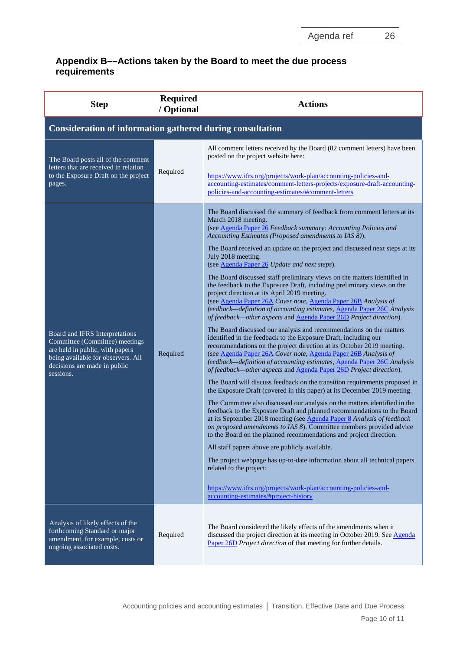## **Appendix B––Actions taken by the Board to meet the due process requirements**

| <b>Step</b>                                                                                                                                                                            | <b>Required</b><br>/ Optional | <b>Actions</b>                                                                                                                                                                                                                                                                                                                                                                                                                                                                                                                                                                                                                                                                                                                                                                                                                                                                                                                                                                                                                                                                                                                                                                                                                                                                                                                                                                                                                                                                                                                                                                                                                                                                                                                                                                                                                                                                                                                                                                                                                                               |  |  |
|----------------------------------------------------------------------------------------------------------------------------------------------------------------------------------------|-------------------------------|--------------------------------------------------------------------------------------------------------------------------------------------------------------------------------------------------------------------------------------------------------------------------------------------------------------------------------------------------------------------------------------------------------------------------------------------------------------------------------------------------------------------------------------------------------------------------------------------------------------------------------------------------------------------------------------------------------------------------------------------------------------------------------------------------------------------------------------------------------------------------------------------------------------------------------------------------------------------------------------------------------------------------------------------------------------------------------------------------------------------------------------------------------------------------------------------------------------------------------------------------------------------------------------------------------------------------------------------------------------------------------------------------------------------------------------------------------------------------------------------------------------------------------------------------------------------------------------------------------------------------------------------------------------------------------------------------------------------------------------------------------------------------------------------------------------------------------------------------------------------------------------------------------------------------------------------------------------------------------------------------------------------------------------------------------------|--|--|
| <b>Consideration of information gathered during consultation</b>                                                                                                                       |                               |                                                                                                                                                                                                                                                                                                                                                                                                                                                                                                                                                                                                                                                                                                                                                                                                                                                                                                                                                                                                                                                                                                                                                                                                                                                                                                                                                                                                                                                                                                                                                                                                                                                                                                                                                                                                                                                                                                                                                                                                                                                              |  |  |
| The Board posts all of the comment<br>letters that are received in relation<br>to the Exposure Draft on the project<br>pages.                                                          | Required                      | All comment letters received by the Board (82 comment letters) have been<br>posted on the project website here:<br>https://www.ifrs.org/projects/work-plan/accounting-policies-and-<br>accounting-estimates/comment-letters-projects/exposure-draft-accounting-<br>policies-and-accounting-estimates/#comment-letters                                                                                                                                                                                                                                                                                                                                                                                                                                                                                                                                                                                                                                                                                                                                                                                                                                                                                                                                                                                                                                                                                                                                                                                                                                                                                                                                                                                                                                                                                                                                                                                                                                                                                                                                        |  |  |
| Board and IFRS Interpretations<br>Committee (Committee) meetings<br>are held in public, with papers<br>being available for observers. All<br>decisions are made in public<br>sessions. | Required                      | The Board discussed the summary of feedback from comment letters at its<br>March 2018 meeting.<br>(see Agenda Paper 26 Feedback summary: Accounting Policies and<br>Accounting Estimates (Proposed amendments to IAS 8)).<br>The Board received an update on the project and discussed next steps at its<br>July 2018 meeting.<br>(see Agenda Paper 26 Update and next steps).<br>The Board discussed staff preliminary views on the matters identified in<br>the feedback to the Exposure Draft, including preliminary views on the<br>project direction at its April 2019 meeting.<br>(see Agenda Paper 26A Cover note, Agenda Paper 26B Analysis of<br>feedback—definition of accounting estimates, Agenda Paper 26C Analysis<br>of feedback—other aspects and Agenda Paper 26D Project direction).<br>The Board discussed our analysis and recommendations on the matters<br>identified in the feedback to the Exposure Draft, including our<br>recommendations on the project direction at its October 2019 meeting.<br>(see Agenda Paper 26A Cover note, Agenda Paper 26B Analysis of<br>feedback-definition of accounting estimates, Agenda Paper 26C Analysis<br>of feedback—other aspects and Agenda Paper 26D Project direction).<br>The Board will discuss feedback on the transition requirements proposed in<br>the Exposure Draft (covered in this paper) at its December 2019 meeting.<br>The Committee also discussed our analysis on the matters identified in the<br>feedback to the Exposure Draft and planned recommendations to the Board<br>at its September 2018 meeting (see Agenda Paper 8 Analysis of feedback<br>on proposed amendments to IAS 8). Committee members provided advice<br>to the Board on the planned recommendations and project direction.<br>All staff papers above are publicly available.<br>The project webpage has up-to-date information about all technical papers<br>related to the project:<br>https://www.ifrs.org/projects/work-plan/accounting-policies-and-<br>accounting-estimates/#project-history |  |  |
| Analysis of likely effects of the<br>forthcoming Standard or major<br>amendment, for example, costs or<br>ongoing associated costs.                                                    | Required                      | The Board considered the likely effects of the amendments when it<br>discussed the project direction at its meeting in October 2019. See Agenda<br>Paper 26D Project direction of that meeting for further details.                                                                                                                                                                                                                                                                                                                                                                                                                                                                                                                                                                                                                                                                                                                                                                                                                                                                                                                                                                                                                                                                                                                                                                                                                                                                                                                                                                                                                                                                                                                                                                                                                                                                                                                                                                                                                                          |  |  |